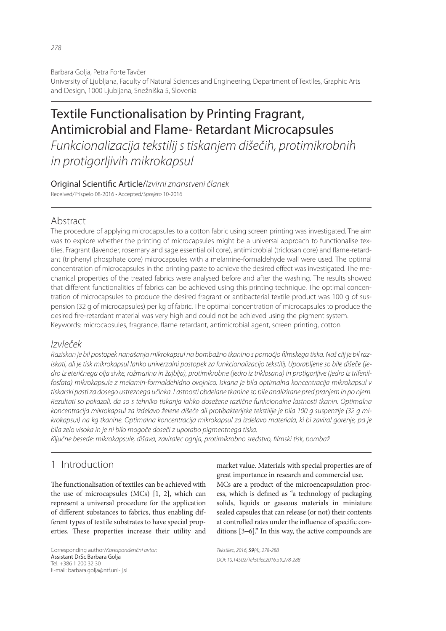Barbara Golja, Petra Forte Tavčer University of Ljubljana, Faculty of Natural Sciences and Engineering, Department of Textiles, Graphic Arts and Design, 1000 Ljubljana, Snežniška 5, Slovenia

# Textile Functionalisation by Printing Fragrant, Antimicrobial and Flame- Retardant Microcapsules

*Funkcionalizacija tekstilij s tiskanjem dišečih, protimikrobnih in protigorljivih mikrokapsul*

Original Scienti! c Article/*Izvirni znanstveni članek* Received/Prispelo 08-2016 • Accepted/*Sprejeto* 10-2016

# Abstract

The procedure of applying microcapsules to a cotton fabric using screen printing was investigated. The aim was to explore whether the printing of microcapsules might be a universal approach to functionalise textiles. Fragrant (lavender, rosemary and sage essential oil core), antimicrobial (triclosan core) and flame-retardant (triphenyl phosphate core) microcapsules with a melamine-formaldehyde wall were used. The optimal concentration of microcapsules in the printing paste to achieve the desired effect was investigated. The mechanical properties of the treated fabrics were analysed before and after the washing. The results showed that different functionalities of fabrics can be achieved using this printing technique. The optimal concentration of microcapsules to produce the desired fragrant or antibacterial textile product was 100 g of suspension (32 g of microcapsules) per kg of fabric. The optimal concentration of microcapsules to produce the desired fire-retardant material was very high and could not be achieved using the pigment system. Keywords: microcapsules, fragrance, flame retardant, antimicrobial agent, screen printing, cotton

# *Izvleček*

*Raziskan je bil postopek nanašanja mikrokapsul na bombažno tkanino s pomočjo fi lmskega tiska. Naš cilj je bil raziskati, ali je tisk mikrokapsul lahko univerzalni postopek za funkcionalizacijo tekstilij. Uporabljene so bile dišeče (jedro iz eteričnega olja sivke, rožmarina in žajblja), protimikrobne (jedro iz triklosana) in protigorljive (jedro iz trifenilfosfata) mikrokapsule z melamin-formaldehidno ovojnico. Iskana je bila optimalna koncentracija mikrokapsul v tiskarski pasti za dosego ustreznega učinka. Lastnosti obdelane tkanine so bile analizirane pred pranjem in po njem. Rezultati so pokazali, da so s tehniko tiskanja lahko dosežene različne funkcionalne lastnosti tkanin. Optimalna koncentracija mikrokapsul za izdelavo želene dišeče ali protibakterijske tekstilije je bila 100 g suspenzije (32 g mikrokapsul) na kg tkanine. Optimalna koncentracija mikrokapsul za izdelavo materiala, ki bi zaviral gorenje, pa je bila zelo visoka in je ni bilo mogoče doseči z uporabo pigmentnega tiska.*

*Ključne besede: mikrokapsule, dišava, zaviralec ognja, protimikrobno sredstvo, fi lmski tisk, bombaž*

# 1 Introduction

The functionalisation of textiles can be achieved with the use of microcapsules (MCs) [1, 2], which can represent a universal procedure for the application of different substances to fabrics, thus enabling different types of textile substrates to have special properties. These properties increase their utility and

Corresponding author/*Korespondenčni avtor:* Assistant DrSc Barbara Golja Tel. +386 1 200 32 30 E-mail: barbara.golja@ntf.uni-lj.si

market value. Materials with special properties are of great importance in research and commercial use.

MCs are a product of the microencapsulation process, which is defined as "a technology of packaging solids, liquids or gaseous materials in miniature sealed capsules that can release (or not) their contents at controlled rates under the influence of specific conditions [3−6]." In this way, the active compounds are

*Tekstilec, 2016,* 59*(4), 278-288 DOI: 10.14502/Tekstilec2016.59.278-288*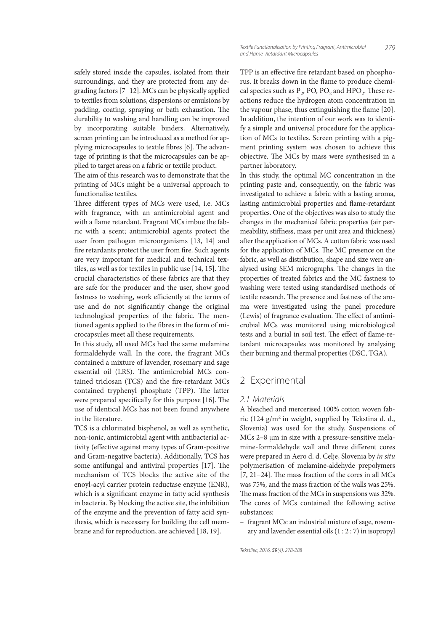safely stored inside the capsules, isolated from their surroundings, and they are protected from any degrading factors [7−12]. MCs can be physically applied to textiles from solutions, dispersions or emulsions by padding, coating, spraying or bath exhaustion. The durability to washing and handling can be improved by incorporating suitable binders. Alternatively, screen printing can be introduced as a method for applying microcapsules to textile fibres [6]. The advantage of printing is that the microcapsules can be applied to target areas on a fabric or textile product.

The aim of this research was to demonstrate that the printing of MCs might be a universal approach to functionalise textiles.

Three different types of MCs were used, i.e. MCs with fragrance, with an antimicrobial agent and with a flame retardant. Fragrant MCs imbue the fabric with a scent; antimicrobial agents protect the user from pathogen microorganisms [13, 14] and fire retardants protect the user from fire. Such agents are very important for medical and technical textiles, as well as for textiles in public use  $[14, 15]$ . The crucial characteristics of these fabrics are that they are safe for the producer and the user, show good fastness to washing, work efficiently at the terms of use and do not significantly change the original technological properties of the fabric. The mentioned agents applied to the fibres in the form of microcapsules meet all these requirements.

In this study, all used MCs had the same melamine formaldehyde wall. In the core, the fragrant MCs contained a mixture of lavender, rosemary and sage essential oil (LRS). The antimicrobial MCs contained triclosan (TCS) and the fire-retardant MCs contained tryphenyl phosphate (TPP). The latter were prepared specifically for this purpose  $[16]$ . The use of identical MCs has not been found anywhere in the literature.

TCS is a chlorinated bisphenol, as well as synthetic, non-ionic, antimicrobial agent with antibacterial activity (effective against many types of Gram-positive and Gram-negative bacteria). Additionally, TCS has some antifungal and antiviral properties  $[17]$ . The mechanism of TCS blocks the active site of the enoyl-acyl carrier protein reductase enzyme (ENR), which is a significant enzyme in fatty acid synthesis in bacteria. By blocking the active site, the inhibition of the enzyme and the prevention of fatty acid synthesis, which is necessary for building the cell membrane and for reproduction, are achieved [18, 19].

TPP is an effective fire retardant based on phosphorus. It breaks down in the flame to produce chemical species such as  $P_2$ , PO, PO<sub>2</sub> and HPO<sub>2</sub>. These reactions reduce the hydrogen atom concentration in the vapour phase, thus extinguishing the flame  $[20]$ . In addition, the intention of our work was to identify a simple and universal procedure for the application of MCs to textiles. Screen printing with a pigment printing system was chosen to achieve this objective. The MCs by mass were synthesised in a partner laboratory.

In this study, the optimal MC concentration in the printing paste and, consequently, on the fabric was investigated to achieve a fabric with a lasting aroma, lasting antimicrobial properties and flame-retardant properties. One of the objectives was also to study the changes in the mechanical fabric properties (air permeability, stiffness, mass per unit area and thickness) after the application of MCs. A cotton fabric was used for the application of MCs. The MC presence on the fabric, as well as distribution, shape and size were analysed using SEM micrographs. The changes in the properties of treated fabrics and the MC fastness to washing were tested using standardised methods of textile research. The presence and fastness of the aroma were investigated using the panel procedure (Lewis) of fragrance evaluation. The effect of antimicrobial MCs was monitored using microbiological tests and a burial in soil test. The effect of flame-retardant microcapsules was monitored by analysing their burning and thermal properties (DSC, TGA).

# 2 Experimental

#### *2.1 Materials*

A bleached and mercerised 100% cotton woven fabric (124 g/m<sup>2</sup> in weight, supplied by Tekstina d. d., Slovenia) was used for the study. Suspensions of MCs 2–8  $\mu$ m in size with a pressure-sensitive melamine-formaldehyde wall and three different cores were prepared in Aero d. d. Celje, Slovenia by in situ polymerisation of melamine-aldehyde prepolymers [7, 21–24]. The mass fraction of the cores in all MCs was 75%, and the mass fraction of the walls was 25%. The mass fraction of the MCs in suspensions was 32%. The cores of MCs contained the following active substances:

 – fragrant MCs: an industrial mixture of sage, rosemary and lavender essential oils (1 : 2 : 7) in isopropyl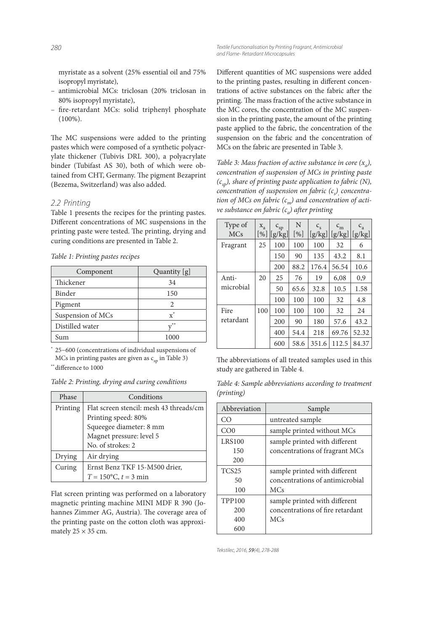myristate as a solvent (25% essential oil and 75% isopropyl myristate),

- antimicrobial MCs: triclosan (20% triclosan in 80% isopropyl myristate),
- fire-retardant MCs: solid triphenyl phosphate (100%).

The MC suspensions were added to the printing pastes which were composed of a synthetic polyacrylate thickener (Tubivis DRL 300), a polyacrylate binder (Tubifast AS 30), both of which were obtained from CHT, Germany. The pigment Bezaprint (Bezema, Switzerland) was also added.

#### *2.2 Printing*

Table 1 presents the recipes for the printing pastes. Different concentrations of MC suspensions in the printing paste were tested. The printing, drying and curing conditions are presented in Table 2.

|  |  | Table 1: Printing pastes recipes |  |  |
|--|--|----------------------------------|--|--|
|--|--|----------------------------------|--|--|

| Component         | Quantity [g]   |  |
|-------------------|----------------|--|
| Thickener         | 34             |  |
| Binder            | 150            |  |
| Pigment           | 2              |  |
| Suspension of MCs | $\mathbf{x}^*$ |  |
| Distilled water   | $**$           |  |
| Sum               | 1000           |  |

\* 25−600 (concentrations of individual suspensions of MCs in printing pastes are given as  $c_{\rm SD}$  in Table 3)

\*\* difference to 1000

Table 2: Printing, drying and curing conditions

| Phase    | Conditions                              |  |  |  |
|----------|-----------------------------------------|--|--|--|
| Printing | Flat screen stencil: mesh 43 threads/cm |  |  |  |
|          | Printing speed: 80%                     |  |  |  |
|          | Squeegee diameter: 8 mm                 |  |  |  |
|          | Magnet pressure: level 5                |  |  |  |
|          | No. of strokes: 2                       |  |  |  |
| Drying   | Air drying                              |  |  |  |
| Curing   | Ernst Benz TKF 15-M500 drier,           |  |  |  |
|          | $T = 150$ °C, $t = 3$ min               |  |  |  |

Flat screen printing was performed on a laboratory magnetic printing machine MINI MDF R 390 (Johannes Zimmer AG, Austria). The coverage area of the printing paste on the cotton cloth was approximately  $25 \times 35$  cm.

Different quantities of MC suspensions were added to the printing pastes, resulting in different concentrations of active substances on the fabric after the printing. The mass fraction of the active substance in the MC cores, the concentration of the MC suspension in the printing paste, the amount of the printing paste applied to the fabric, the concentration of the suspension on the fabric and the concentration of MCs on the fabric are presented in Table 3.

Table 3: Mass fraction of active substance in core  $(x_a)$ , concentration of suspension of MCs in printing paste  $(c_{\text{sp}})$ , share of printing paste application to fabric (N), concentration of suspension on fabric (c<sub>s</sub>)<sub>,</sub> concentration of MCs on fabric (c<sub>m</sub>) and concentration of active substance on fabric ( $c_a$ ) after printing

| Type of    | $X_{a}$ | $\textit{c}_{\rm sp}$ | N      | $C_{\rm S}$ | $\mathrm{c}_{\mathrm{m}}$ | $c_a$  |
|------------|---------|-----------------------|--------|-------------|---------------------------|--------|
| <b>MCs</b> | $[\%]$  | [g/kg]                | $[\%]$ | [g/kg]      | [g/kg]                    | [g/kg] |
| Fragrant   | 25      | 100                   | 100    | 100         | 32                        | 6      |
|            |         | 150                   | 90     | 135         | 43.2                      | 8.1    |
|            |         | 200                   | 88.2   | 176.4       | 56.54                     | 10.6   |
| Anti-      | 20      | 25                    | 76     | 19          | 6,08                      | 0,9    |
| microbial  |         | 50                    | 65.6   | 32.8        | 10.5                      | 1.58   |
|            |         | 100                   | 100    | 100         | 32                        | 4.8    |
| Fire       | 100     | 100                   | 100    | 100         | 32                        | 24     |
| retardant  |         | 200                   | 90     | 180         | 57.6                      | 43.2   |
|            |         | 400                   | 54.4   | 218         | 69.76                     | 52.32  |
|            |         | 600                   | 58.6   | 351.6       | 112.5                     | 84.37  |

The abbreviations of all treated samples used in this study are gathered in Table 4.

Table 4: Sample abbreviations according to treatment (printing)

| Abbreviation    | Sample                           |  |
|-----------------|----------------------------------|--|
| CO              | untreated sample                 |  |
| CO <sub>0</sub> | sample printed without MCs       |  |
| <b>LRS100</b>   | sample printed with different    |  |
| 150             | concentrations of fragrant MCs   |  |
| 200             |                                  |  |
| <b>TCS25</b>    | sample printed with different    |  |
| 50              | concentrations of antimicrobial  |  |
| 100             | <b>MCs</b>                       |  |
| <b>TPP100</b>   | sample printed with different    |  |
| 200             | concentrations of fire retardant |  |
| 400             | <b>MCs</b>                       |  |
| 600             |                                  |  |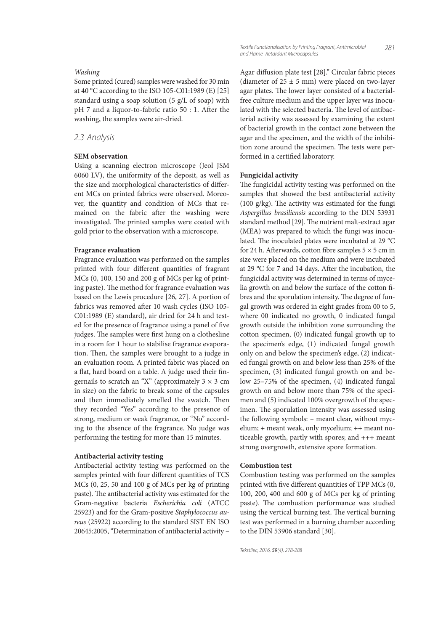#### Washing

Some printed (cured) samples were washed for 30 min at 40 °C according to the ISO 105-C01:1989 (E) [25] standard using a soap solution (5 g/L of soap) with pH 7 and a liquor-to-fabric ratio 50 : 1. After the washing, the samples were air-dried.

## *2.3 Analysis*

#### **SEM observation**

Using a scanning electron microscope (Jeol JSM 6060 LV), the uniformity of the deposit, as well as the size and morphological characteristics of different MCs on printed fabrics were observed. Moreover, the quantity and condition of MCs that remained on the fabric after the washing were investigated. The printed samples were coated with gold prior to the observation with a microscope.

#### **Fragrance evaluation**

Fragrance evaluation was performed on the samples printed with four different quantities of fragrant MCs (0, 100, 150 and 200 g of MCs per kg of printing paste). The method for fragrance evaluation was based on the Lewis procedure [26, 27]. A portion of fabrics was removed after 10 wash cycles (ISO 105-C01:1989 (E) standard), air dried for 24 h and tested for the presence of fragrance using a panel of five judges. The samples were first hung on a clothesline in a room for 1 hour to stabilise fragrance evaporation. Then, the samples were brought to a judge in an evaluation room. A printed fabric was placed on a flat, hard board on a table. A judge used their fingernails to scratch an "X" (approximately  $3 \times 3$  cm in size) on the fabric to break some of the capsules and then immediately smelled the swatch. Then they recorded "Yes" according to the presence of strong, medium or weak fragrance, or "No" according to the absence of the fragrance. No judge was performing the testing for more than 15 minutes.

#### **Antibacterial activity testing**

Antibacterial activity testing was performed on the samples printed with four different quantities of TCS MCs (0, 25, 50 and 100 g of MCs per kg of printing paste). The antibacterial activity was estimated for the Gram-negative bacteria Escherichia coli (ATCC 25923) and for the Gram-positive Staphylococcus aureus (25922) according to the standard SIST EN ISO 20645:2005, "Determination of antibacterial activity –

Agar diffusion plate test [28]." Circular fabric pieces (diameter of  $25 \pm 5$  mm) were placed on two-layer agar plates. The lower layer consisted of a bacterialfree culture medium and the upper layer was inoculated with the selected bacteria. The level of antibacterial activity was assessed by examining the extent of bacterial growth in the contact zone between the agar and the specimen, and the width of the inhibition zone around the specimen. The tests were performed in a certified laboratory.

#### **Fungicidal activity**

The fungicidal activity testing was performed on the samples that showed the best antibacterial activity (100 g/kg). The activity was estimated for the fungi Aspergillus brasiliensis according to the DIN 53931 standard method [29]. The nutrient malt-extract agar (MEA) was prepared to which the fungi was inoculated. The inoculated plates were incubated at 29 °C for 24 h. Afterwards, cotton fibre samples  $5 \times 5$  cm in size were placed on the medium and were incubated at 29 °C for 7 and 14 days. After the incubation, the fungicidal activity was determined in terms of mycelia growth on and below the surface of the cotton fibres and the sporulation intensity. The degree of fungal growth was ordered in eight grades from 00 to 5, where 00 indicated no growth, 0 indicated fungal growth outside the inhibition zone surrounding the cotton specimen, (0) indicated fungal growth up to the specimen's edge, (1) indicated fungal growth only on and below the specimen's edge, (2) indicated fungal growth on and below less than 25% of the specimen, (3) indicated fungal growth on and below 25–75% of the specimen, (4) indicated fungal growth on and below more than 75% of the specimen and (5) indicated 100% overgrowth of the specimen. The sporulation intensity was assessed using the following symbols: – meant clear, without mycelium; + meant weak, only mycelium; ++ meant noticeable growth, partly with spores; and +++ meant strong overgrowth, extensive spore formation.

#### **Combustion test**

Combustion testing was performed on the samples printed with five different quantities of TPP MCs (0, 100, 200, 400 and 600 g of MCs per kg of printing paste). The combustion performance was studied using the vertical burning test. The vertical burning test was performed in a burning chamber according to the DIN 53906 standard [30].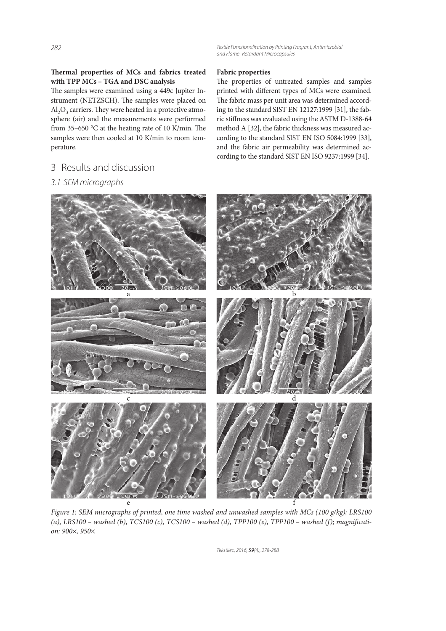*282 Textile Functionalisation by Printing Fragrant, Antimicrobial and Flame- Retardant Microcapsules*

## Thermal properties of MCs and fabrics treated **with TPP MCs – TGA and DSC analysis**

The samples were examined using a 449c Jupiter Instrument (NETZSCH). The samples were placed on  $\mathrm{Al}_2\mathrm{O}_3$  carriers. They were heated in a protective atmosphere (air) and the measurements were performed from 35–650  $^{\circ}$ C at the heating rate of 10 K/min. The samples were then cooled at 10 K/min to room temperature.

# 3 Results and discussion

# *3.1 SEM micrographs*

## **Fabric properties**

The properties of untreated samples and samples printed with different types of MCs were examined. The fabric mass per unit area was determined according to the standard SIST EN 12127:1999 [31], the fabric stiffness was evaluated using the ASTM D-1388-64 method A [32], the fabric thickness was measured according to the standard SIST EN ISO 5084:1999 [33], and the fabric air permeability was determined according to the standard SIST EN ISO 9237:1999 [34].



Figure 1: SEM micrographs of printed, one time washed and unwashed samples with MCs (100 g/kg); LRS100 (a), LRS100 – washed (b), TCS100 (c), TCS100 – washed (d), TPP100 (e), TPP100 – washed (f); magnification: 900×, 950×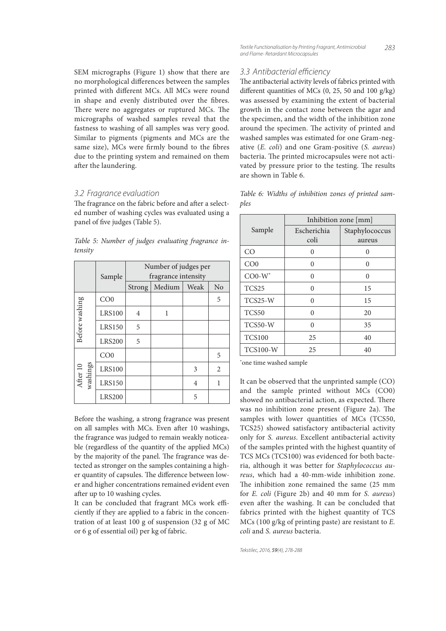SEM micrographs (Figure 1) show that there are no morphological differences between the samples printed with different MCs. All MCs were round in shape and evenly distributed over the fibres. There were no aggregates or ruptured MCs. The micrographs of washed samples reveal that the fastness to washing of all samples was very good. Similar to pigments (pigments and MCs are the same size), MCs were firmly bound to the fibres due to the printing system and remained on them after the laundering.

## *3.2 Fragrance evaluation*

The fragrance on the fabric before and after a selected number of washing cycles was evaluated using a panel of five judges (Table 5).

Table 5: Number of judges evaluating fragrance intensity

|                      | Sample          | Number of judges per<br>fragrance intensity |        |      |                |  |
|----------------------|-----------------|---------------------------------------------|--------|------|----------------|--|
|                      |                 | Strong                                      | Medium | Weak | N <sub>o</sub> |  |
|                      | CO <sub>0</sub> |                                             |        |      | 5              |  |
| Before washing       | <b>LRS100</b>   | 4                                           | 1      |      |                |  |
|                      | <b>LRS150</b>   | 5                                           |        |      |                |  |
|                      | <b>LRS200</b>   | 5                                           |        |      |                |  |
| washings<br>After 10 | CO <sub>0</sub> |                                             |        |      | 5              |  |
|                      | <b>LRS100</b>   |                                             |        | 3    | $\overline{2}$ |  |
|                      | <b>LRS150</b>   |                                             |        | 4    | 1              |  |
|                      | <b>LRS200</b>   |                                             |        | 5    |                |  |

Before the washing, a strong fragrance was present on all samples with MCs. Even after 10 washings, the fragrance was judged to remain weakly noticeable (regardless of the quantity of the applied MCs) by the majority of the panel. The fragrance was detected as stronger on the samples containing a higher quantity of capsules. The difference between lower and higher concentrations remained evident even after up to 10 washing cycles.

It can be concluded that fragrant MCs work efficiently if they are applied to a fabric in the concentration of at least 100 g of suspension (32 g of MC or 6 g of essential oil) per kg of fabric.

## *3.3 Antibacterial effi ciency*

The antibacterial activity levels of fabrics printed with different quantities of MCs  $(0, 25, 50$  and  $100$  g/kg) was assessed by examining the extent of bacterial growth in the contact zone between the agar and the specimen, and the width of the inhibition zone around the specimen. The activity of printed and washed samples was estimated for one Gram-negative (E. coli) and one Gram-positive (S. aureus) bacteria. The printed microcapsules were not activated by pressure prior to the testing. The results are shown in Table 6.

Table 6: Widths of inhibition zones of printed samples

|                 | Inhibition zone [mm] |                |  |  |
|-----------------|----------------------|----------------|--|--|
| Sample          | Escherichia          | Staphylococcus |  |  |
|                 | coli                 | aureus         |  |  |
| CO              | 0                    | 0              |  |  |
| CO <sub>0</sub> | ∩                    | ∩              |  |  |
| $CO0-W*$        | 0                    | 0              |  |  |
| TCS25           | ∩                    | 15             |  |  |
| $TCS25-W$       | O                    | 15             |  |  |
| TCS50           | 0                    | 20             |  |  |
| TCS50-W         | $\Omega$             | 35             |  |  |
| <b>TCS100</b>   | 25                   | 40             |  |  |
| <b>TCS100-W</b> | 25                   | 40             |  |  |

\*one time washed sample

It can be observed that the unprinted sample (CO) and the sample printed without MCs (CO0) showed no antibacterial action, as expected. There was no inhibition zone present (Figure 2a). The samples with lower quantities of MCs (TCS50, TCS25) showed satisfactory antibacterial activity only for S. aureus. Excellent antibacterial activity of the samples printed with the highest quantity of TCS MCs (TCS100) was evidenced for both bacteria, although it was better for Staphylococcus aureus, which had a 40-mm-wide inhibition zone. The inhibition zone remained the same (25 mm) for E. coli (Figure 2b) and 40 mm for S. aureus) even after the washing. It can be concluded that fabrics printed with the highest quantity of TCS MCs (100 g/kg of printing paste) are resistant to E. coli and S. aureus bacteria.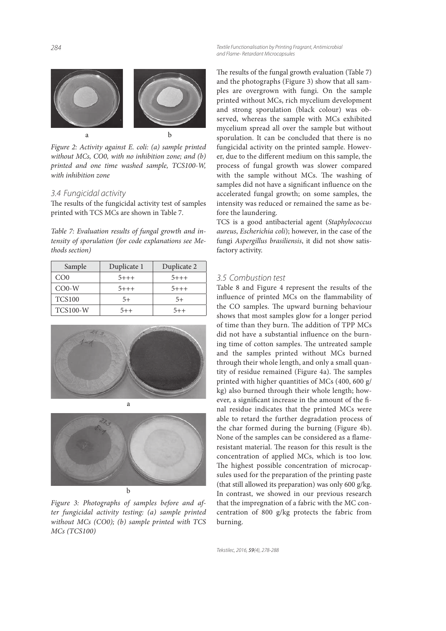*284 Textile Functionalisation by Printing Fragrant, Antimicrobial and Flame- Retardant Microcapsules*

a b

Figure 2: Activity against E. coli: (a) sample printed without MCs, CO0, with no inhibition zone; and (b) printed and one time washed sample, TCS100-W, with inhibition zone

#### *3.4 Fungicidal activity*

The results of the fungicidal activity test of samples printed with TCS MCs are shown in Table 7.

Table 7: Evaluation results of fungal growth and intensity of sporulation (for code explanations see Methods section)

| Sample          | Duplicate 1 | Duplicate 2 |
|-----------------|-------------|-------------|
| CO <sub>0</sub> | $5 + + +$   | $5 + + +$   |
| $CO0-W$         | $5 + + +$   | $5 + + +$   |
| <b>TCS100</b>   | 5+          | $5+$        |
| <b>TCS100-W</b> | $5 + +$     | $5 + +$     |





Figure 3: Photographs of samples before and after fungicidal activity testing: (a) sample printed without MCs (CO0); (b) sample printed with TCS MCs (TCS100)

The results of the fungal growth evaluation (Table 7) and the photographs (Figure 3) show that all samples are overgrown with fungi. On the sample printed without MCs, rich mycelium development and strong sporulation (black colour) was observed, whereas the sample with MCs exhibited mycelium spread all over the sample but without sporulation. It can be concluded that there is no fungicidal activity on the printed sample. However, due to the different medium on this sample, the process of fungal growth was slower compared with the sample without MCs. The washing of samples did not have a significant influence on the accelerated fungal growth; on some samples, the intensity was reduced or remained the same as before the laundering.

TCS is a good antibacterial agent (Staphylococcus aureus, Escherichia coli); however, in the case of the fungi Aspergillus brasiliensis, it did not show satisfactory activity.

# *3.5 Combustion test*

Table 8 and Figure 4 represent the results of the influence of printed MCs on the flammability of the CO samples. The upward burning behaviour shows that most samples glow for a longer period of time than they burn. The addition of TPP MCs did not have a substantial influence on the burning time of cotton samples. The untreated sample and the samples printed without MCs burned through their whole length, and only a small quantity of residue remained (Figure 4a). The samples printed with higher quantities of MCs (400, 600 g/ kg) also burned through their whole length; however, a significant increase in the amount of the final residue indicates that the printed MCs were able to retard the further degradation process of the char formed during the burning (Figure 4b). None of the samples can be considered as a flameresistant material. The reason for this result is the concentration of applied MCs, which is too low. The highest possible concentration of microcapsules used for the preparation of the printing paste (that still allowed its preparation) was only 600 g/kg. In contrast, we showed in our previous research that the impregnation of a fabric with the MC concentration of 800 g/kg protects the fabric from burning.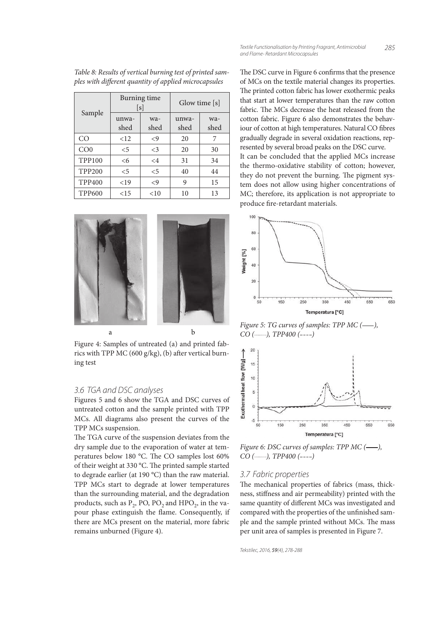| Sample          |               | Burning time<br>[s] | Glow time [s] |             |  |
|-----------------|---------------|---------------------|---------------|-------------|--|
|                 | unwa-<br>shed | wa-<br>shed         | unwa-<br>shed | wa-<br>shed |  |
| CO.             | <12           | $\langle 9$         | 20            | 7           |  |
| CO <sub>0</sub> | $\leq 5$      | $\leq$ 3            | 20            | 30          |  |
| <b>TPP100</b>   | <6            | $\leq$ 4            | 31            | 34          |  |
| <b>TPP200</b>   | $\leq 5$      | $\leq$ 5            | 40            | 44          |  |
| <b>TPP400</b>   | <19           | $\langle 9$         | 9             | 15          |  |
| <b>TPP600</b>   | $<$ 15        | < 10                | 10            | 13          |  |

Table 8: Results of vertical burning test of printed samples with different quantity of applied microcapsules



Figure 4: Samples of untreated (a) and printed fabrics with TPP MC (600 g/kg), (b) after vertical burning test

## *3.6 TGA and DSC analyses*

Figures 5 and 6 show the TGA and DSC curves of untreated cotton and the sample printed with TPP MCs. All diagrams also present the curves of the TPP MCs suspension.

The TGA curve of the suspension deviates from the dry sample due to the evaporation of water at temperatures below 180 °C. The CO samples lost 60% of their weight at 330 °C. The printed sample started to degrade earlier (at 190 °C) than the raw material. TPP MCs start to degrade at lower temperatures than the surrounding material, and the degradation products, such as  $P_2$ , PO, PO<sub>2</sub> and HPO<sub>2</sub>, in the vapour phase extinguish the flame. Consequently, if there are MCs present on the material, more fabric remains unburned (Figure 4).

The DSC curve in Figure 6 confirms that the presence of MCs on the textile material changes its properties. The printed cotton fabric has lower exothermic peaks that start at lower temperatures than the raw cotton fabric. The MCs decrease the heat released from the cotton fabric. Figure 6 also demonstrates the behaviour of cotton at high temperatures. Natural CO fibres gradually degrade in several oxidation reactions, represented by several broad peaks on the DSC curve. It can be concluded that the applied MCs increase the thermo-oxidative stability of cotton; however, they do not prevent the burning. The pigment system does not allow using higher concentrations of MC; therefore, its application is not appropriate to produce fire-retardant materials.



Figure 5: TG curves of samples: TPP MC (-),  $CO$  (------),  $TPP400$  (----)



Figure 6: DSC curves of samples: TPP MC (---),  $CO$  (............), TPP400 (----)

#### *3.7 Fabric properties*

The mechanical properties of fabrics (mass, thickness, stiffness and air permeability) printed with the same quantity of different MCs was investigated and compared with the properties of the unfinished sample and the sample printed without MCs. The mass per unit area of samples is presented in Figure 7.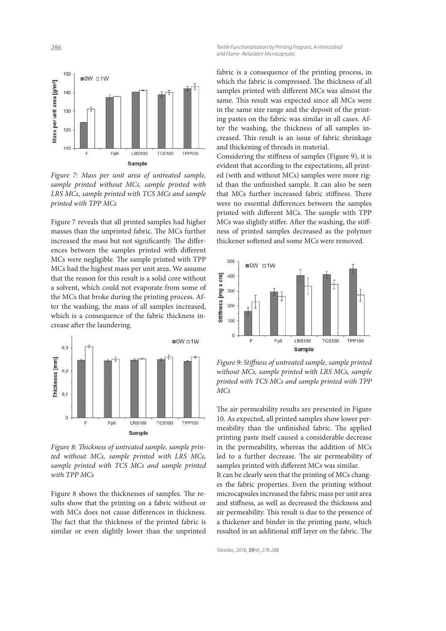*286 Textile Functionalisation by Printing Fragrant, Antimicrobial and Flame- Retardant Microcapsules*



Figure 7: Mass per unit area of untreated sample, sample printed without MCs, sample printed with LRS MCs, sample printed with TCS MCs and sample printed with TPP MCs

Figure 7 reveals that all printed samples had higher masses than the unprinted fabric. The MCs further increased the mass but not significantly. The differences between the samples printed with different MCs were negligible. The sample printed with TPP MCs had the highest mass per unit area. We assume that the reason for this result is a solid core without a solvent, which could not evaporate from some of the MCs that broke during the printing process. After the washing, the mass of all samples increased, which is a consequence of the fabric thickness increase after the laundering.



Figure 8: Thickness of untreated sample, sample printed without MCs, sample printed with LRS MCs, sample printed with TCS MCs and sample printed with TPP MCs

Figure 8 shows the thicknesses of samples. The results show that the printing on a fabric without or with MCs does not cause differences in thickness. The fact that the thickness of the printed fabric is similar or even slightly lower than the unprinted fabric is a consequence of the printing process, in which the fabric is compressed. The thickness of all samples printed with different MCs was almost the same. This result was expected since all MCs were in the same size range and the deposit of the printing pastes on the fabric was similar in all cases. After the washing, the thickness of all samples increased. This result is an issue of fabric shrinkage and thickening of threads in material.

Considering the stiffness of samples (Figure 9), it is evident that according to the expectations, all printed (with and without MCs) samples were more rigid than the unfinished sample. It can also be seen that MCs further increased fabric stiffness. There were no essential differences between the samples printed with different MCs. The sample with TPP MCs was slightly stiffer. After the washing, the stiffness of printed samples decreased as the polymer thickener softened and some MCs were removed.



Figure 9: Stiffness of untreated sample, sample printed without MCs, sample printed with LRS MCs, sample printed with TCS MCs and sample printed with TPP MCs

The air permeability results are presented in Figure 10. As expected, all printed samples show lower permeability than the unfinished fabric. The applied printing paste itself caused a considerable decrease in the permeability, whereas the addition of MCs led to a further decrease. The air permeability of samples printed with different MCs was similar.

It can be clearly seen that the printing of MCs changes the fabric properties. Even the printing without microcapsules increased the fabric mass per unit area and stiffness, as well as decreased the thickness and air permeability. This result is due to the presence of a thickener and binder in the printing paste, which resulted in an additional stiff layer on the fabric. The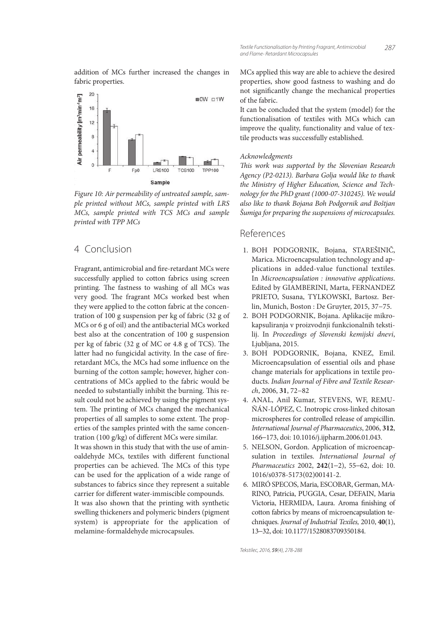addition of MCs further increased the changes in fabric properties.



Figure 10: Air permeability of untreated sample, sample printed without MCs, sample printed with LRS MCs, sample printed with TCS MCs and sample printed with TPP MCs

# 4 Conclusion

Fragrant, antimicrobial and fire-retardant MCs were successfully applied to cotton fabrics using screen printing. The fastness to washing of all MCs was very good. The fragrant MCs worked best when they were applied to the cotton fabric at the concentration of 100 g suspension per kg of fabric (32 g of MCs or 6 g of oil) and the antibacterial MCs worked best also at the concentration of 100 g suspension per kg of fabric  $(32 \text{ g of MC or } 4.8 \text{ g of TCS}).$  The latter had no fungicidal activity. In the case of fireretardant MCs, the MCs had some influence on the burning of the cotton sample; however, higher concentrations of MCs applied to the fabric would be needed to substantially inhibit the burning. This result could not be achieved by using the pigment system. The printing of MCs changed the mechanical properties of all samples to some extent. The properties of the samples printed with the same concentration (100 g/kg) of different MCs were similar. It was shown in this study that with the use of aminoaldehyde MCs, textiles with different functional properties can be achieved. The MCs of this type can be used for the application of a wide range of substances to fabrics since they represent a suitable carrier for different water-immiscible compounds. It was also shown that the printing with synthetic swelling thickeners and polymeric binders (pigment system) is appropriate for the application of melamine-formaldehyde microcapsules.

MCs applied this way are able to achieve the desired properties, show good fastness to washing and do not significantly change the mechanical properties of the fabric.

It can be concluded that the system (model) for the functionalisation of textiles with MCs which can improve the quality, functionality and value of textile products was successfully established.

## Acknowledgments

This work was supported by the Slovenian Research Agency (P2-0213). Barbara Golja would like to thank the Ministry of Higher Education, Science and Technology for the PhD grant (1000-07-310245). We would also like to thank Bojana Boh Podgornik and Boštjan Šumiga for preparing the suspensions of microcapsules.

# References

- 1. BOH PODGORNIK, Bojana, STAREŠINIČ, Marica. Microencapsulation technology and applications in added-value functional textiles. In Microencapsulation : innovative applications. Edited by GIAMBERINI, Marta, FERNANDEZ PRIETO, Susana, TYLKOWSKI, Bartosz. Berlin, Munich, Boston : De Gruyter, 2015, 37−75.
- 2. BOH PODGORNIK, Bojana. Aplikacije mikrokapsuliranja v proizvodnji funkcionalnih tekstilij. In Proceedings of Slovenski kemijski dnevi, Ljubljana, 2015.
- 3. BOH PODGORNIK, Bojana, KNEZ, Emil. Microencapsulation of essential oils and phase change materials for applications in textile products. Indian Journal of Fibre and Textile Research, 2006, **31**, 72−82
- 4. ANAL, Anil Kumar, STEVENS, WF, REMU-ÑÁN-LÓPEZ, C. Inotropic cross-linked chitosan microspheres for controlled release of ampicillin. International Journal of Pharmaceutics, 2006, **312**, 166−173, doi: 10.1016/j.ijpharm.2006.01.043.
- 5. NELSON, Gordon. Application of microencapsulation in textiles. International Journal of Pharmaceutics 2002, **242**(1−2), 55−62, doi: 10. 1016/s0378-5173(02)00141-2.
- 6. MIRÓ SPECOS, Maria, ESCOBAR, German, MA-RINO, Patricia, PUGGIA, Cesar, DEFAIN, Maria Victoria, HERMIDA, Laura. Aroma finishing of cotton fabrics by means of microencapsulation techniques. Journal of Industrial Texiles, 2010, **40**(1), 13−32, doi: 10.1177/1528083709350184.